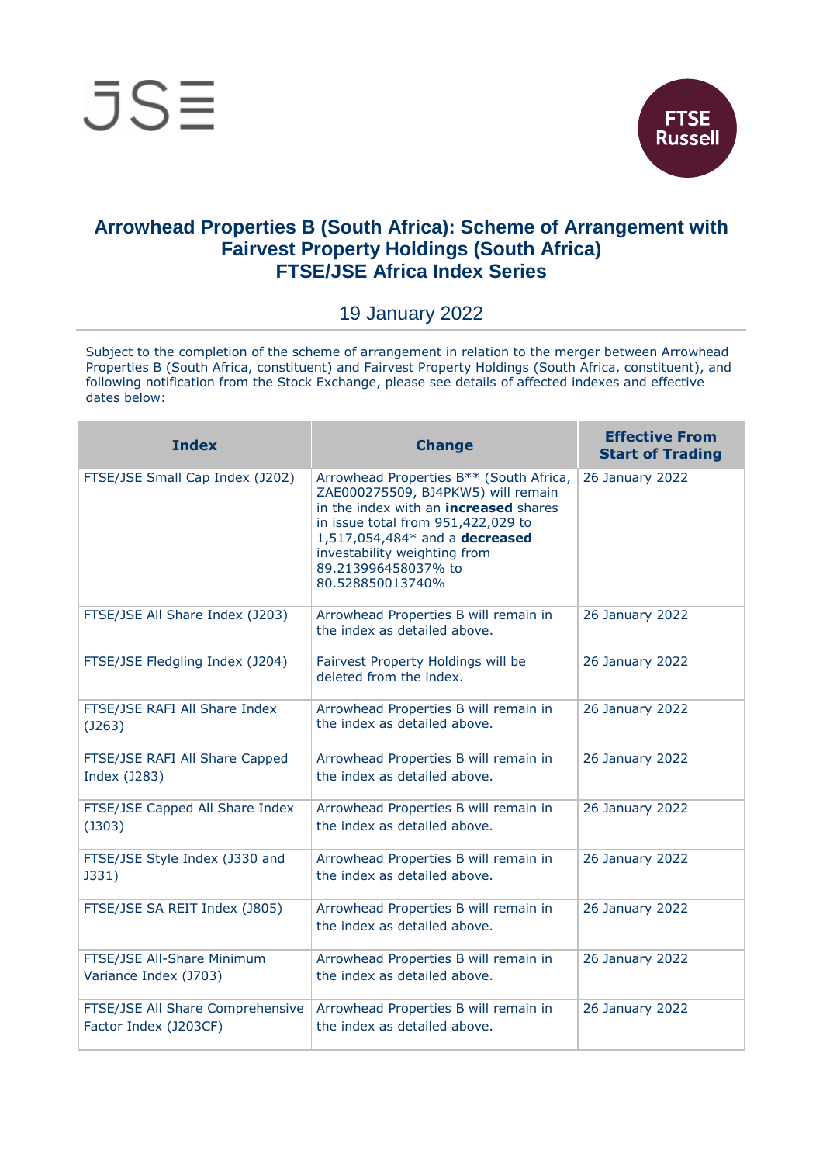



## **Arrowhead Properties B (South Africa): Scheme of Arrangement with Fairvest Property Holdings (South Africa) FTSE/JSE Africa Index Series**

## 19 January 2022

Subject to the completion of the scheme of arrangement in relation to the merger between Arrowhead Properties B (South Africa, constituent) and Fairvest Property Holdings (South Africa, constituent), and following notification from the Stock Exchange, please see details of affected indexes and effective dates below:

| <b>Index</b>                                              | <b>Change</b>                                                                                                                                                                                                                                                                    | <b>Effective From</b><br><b>Start of Trading</b> |
|-----------------------------------------------------------|----------------------------------------------------------------------------------------------------------------------------------------------------------------------------------------------------------------------------------------------------------------------------------|--------------------------------------------------|
| FTSE/JSE Small Cap Index (J202)                           | Arrowhead Properties B** (South Africa,<br>ZAE000275509, BJ4PKW5) will remain<br>in the index with an <b>increased</b> shares<br>in issue total from 951,422,029 to<br>1,517,054,484* and a decreased<br>investability weighting from<br>89.213996458037% to<br>80.528850013740% | 26 January 2022                                  |
| FTSE/JSE All Share Index (J203)                           | Arrowhead Properties B will remain in<br>the index as detailed above.                                                                                                                                                                                                            | 26 January 2022                                  |
| FTSE/JSE Fledgling Index (J204)                           | Fairvest Property Holdings will be<br>deleted from the index.                                                                                                                                                                                                                    | 26 January 2022                                  |
| FTSE/JSE RAFI All Share Index<br>(J263)                   | Arrowhead Properties B will remain in<br>the index as detailed above.                                                                                                                                                                                                            | 26 January 2022                                  |
| FTSE/JSE RAFI All Share Capped<br>Index (J283)            | Arrowhead Properties B will remain in<br>the index as detailed above.                                                                                                                                                                                                            | 26 January 2022                                  |
| FTSE/JSE Capped All Share Index<br>$($ J303 $)$           | Arrowhead Properties B will remain in<br>the index as detailed above.                                                                                                                                                                                                            | 26 January 2022                                  |
| FTSE/JSE Style Index (J330 and<br>J331)                   | Arrowhead Properties B will remain in<br>the index as detailed above.                                                                                                                                                                                                            | 26 January 2022                                  |
| FTSE/JSE SA REIT Index (J805)                             | Arrowhead Properties B will remain in<br>the index as detailed above.                                                                                                                                                                                                            | 26 January 2022                                  |
| FTSE/JSE All-Share Minimum<br>Variance Index (J703)       | Arrowhead Properties B will remain in<br>the index as detailed above.                                                                                                                                                                                                            | 26 January 2022                                  |
| FTSE/JSE All Share Comprehensive<br>Factor Index (J203CF) | Arrowhead Properties B will remain in<br>the index as detailed above.                                                                                                                                                                                                            | 26 January 2022                                  |